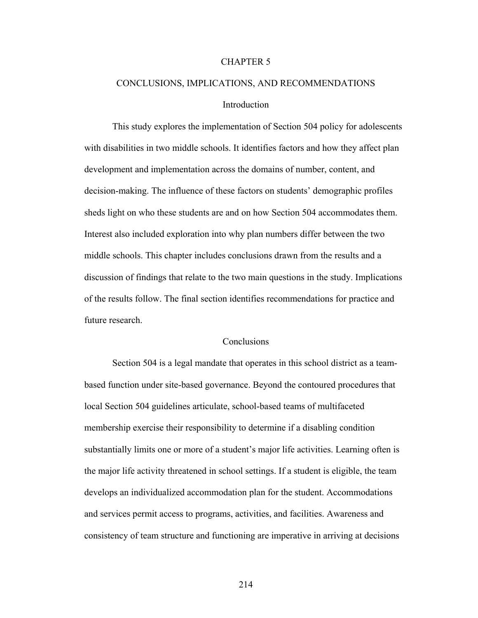### CHAPTER 5

# CONCLUSIONS, IMPLICATIONS, AND RECOMMENDATIONS **Introduction**

 This study explores the implementation of Section 504 policy for adolescents with disabilities in two middle schools. It identifies factors and how they affect plan development and implementation across the domains of number, content, and decision-making. The influence of these factors on students' demographic profiles sheds light on who these students are and on how Section 504 accommodates them. Interest also included exploration into why plan numbers differ between the two middle schools. This chapter includes conclusions drawn from the results and a discussion of findings that relate to the two main questions in the study. Implications of the results follow. The final section identifies recommendations for practice and future research.

## **Conclusions**

 Section 504 is a legal mandate that operates in this school district as a teambased function under site-based governance. Beyond the contoured procedures that local Section 504 guidelines articulate, school-based teams of multifaceted membership exercise their responsibility to determine if a disabling condition substantially limits one or more of a student's major life activities. Learning often is the major life activity threatened in school settings. If a student is eligible, the team develops an individualized accommodation plan for the student. Accommodations and services permit access to programs, activities, and facilities. Awareness and consistency of team structure and functioning are imperative in arriving at decisions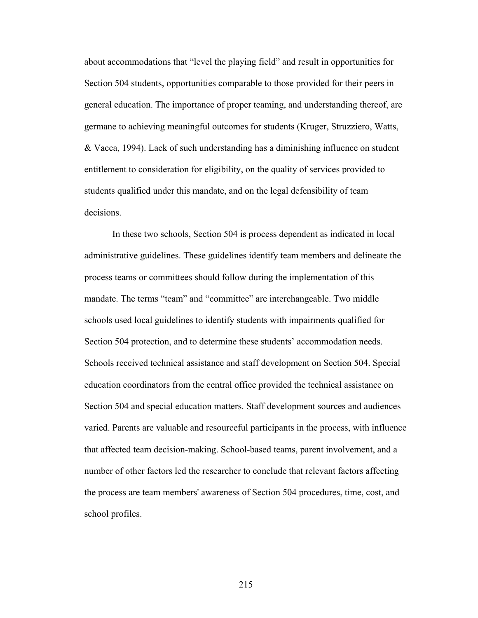about accommodations that "level the playing field" and result in opportunities for Section 504 students, opportunities comparable to those provided for their peers in general education. The importance of proper teaming, and understanding thereof, are germane to achieving meaningful outcomes for students (Kruger, Struzziero, Watts, & Vacca, 1994). Lack of such understanding has a diminishing influence on student entitlement to consideration for eligibility, on the quality of services provided to students qualified under this mandate, and on the legal defensibility of team decisions.

 In these two schools, Section 504 is process dependent as indicated in local administrative guidelines. These guidelines identify team members and delineate the process teams or committees should follow during the implementation of this mandate. The terms "team" and "committee" are interchangeable. Two middle schools used local guidelines to identify students with impairments qualified for Section 504 protection, and to determine these students' accommodation needs. Schools received technical assistance and staff development on Section 504. Special education coordinators from the central office provided the technical assistance on Section 504 and special education matters. Staff development sources and audiences varied. Parents are valuable and resourceful participants in the process, with influence that affected team decision-making. School-based teams, parent involvement, and a number of other factors led the researcher to conclude that relevant factors affecting the process are team members' awareness of Section 504 procedures, time, cost, and school profiles.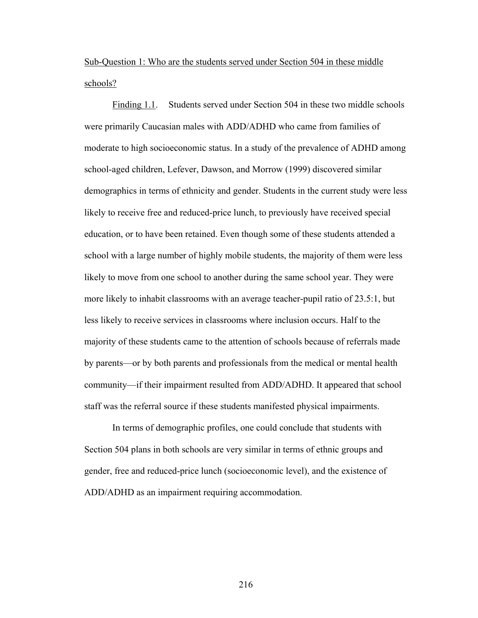Sub-Question 1: Who are the students served under Section 504 in these middle schools?

 Finding 1.1. Students served under Section 504 in these two middle schools were primarily Caucasian males with ADD/ADHD who came from families of moderate to high socioeconomic status. In a study of the prevalence of ADHD among school-aged children, Lefever, Dawson, and Morrow (1999) discovered similar demographics in terms of ethnicity and gender. Students in the current study were less likely to receive free and reduced-price lunch, to previously have received special education, or to have been retained. Even though some of these students attended a school with a large number of highly mobile students, the majority of them were less likely to move from one school to another during the same school year. They were more likely to inhabit classrooms with an average teacher-pupil ratio of 23.5:1, but less likely to receive services in classrooms where inclusion occurs. Half to the majority of these students came to the attention of schools because of referrals made by parents—or by both parents and professionals from the medical or mental health community—if their impairment resulted from ADD/ADHD. It appeared that school staff was the referral source if these students manifested physical impairments.

 In terms of demographic profiles, one could conclude that students with Section 504 plans in both schools are very similar in terms of ethnic groups and gender, free and reduced-price lunch (socioeconomic level), and the existence of ADD/ADHD as an impairment requiring accommodation.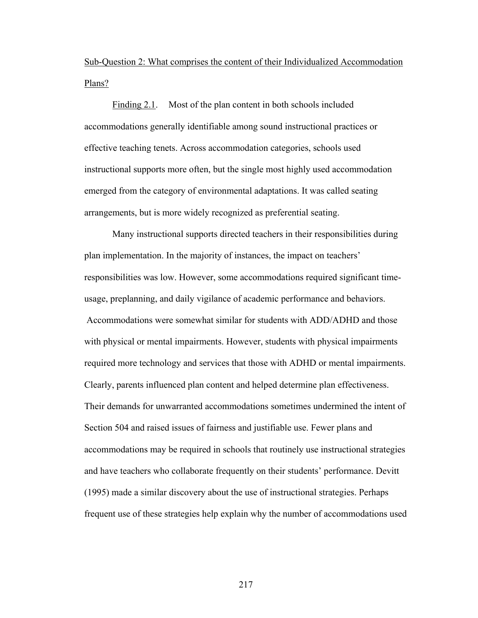Sub-Question 2: What comprises the content of their Individualized Accommodation Plans?

Finding 2.1. Most of the plan content in both schools included accommodations generally identifiable among sound instructional practices or effective teaching tenets. Across accommodation categories, schools used instructional supports more often, but the single most highly used accommodation emerged from the category of environmental adaptations. It was called seating arrangements, but is more widely recognized as preferential seating.

Many instructional supports directed teachers in their responsibilities during plan implementation. In the majority of instances, the impact on teachers' responsibilities was low. However, some accommodations required significant timeusage, preplanning, and daily vigilance of academic performance and behaviors. Accommodations were somewhat similar for students with ADD/ADHD and those with physical or mental impairments. However, students with physical impairments required more technology and services that those with ADHD or mental impairments. Clearly, parents influenced plan content and helped determine plan effectiveness. Their demands for unwarranted accommodations sometimes undermined the intent of Section 504 and raised issues of fairness and justifiable use. Fewer plans and accommodations may be required in schools that routinely use instructional strategies and have teachers who collaborate frequently on their students' performance. Devitt (1995) made a similar discovery about the use of instructional strategies. Perhaps frequent use of these strategies help explain why the number of accommodations used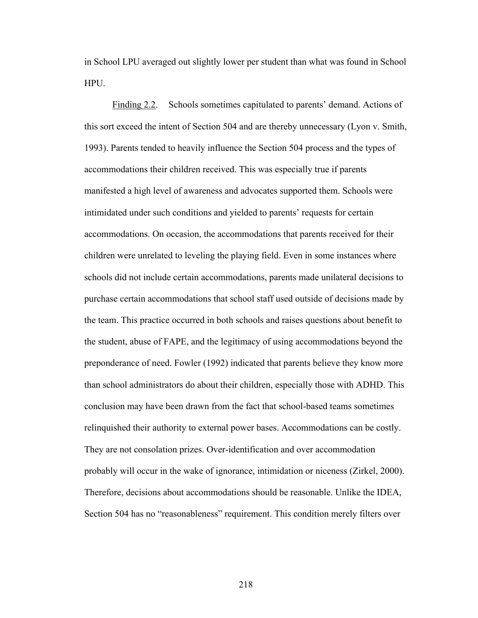in School LPU averaged out slightly lower per student than what was found in School HPU.

Finding 2.2. Schools sometimes capitulated to parents' demand. Actions of this sort exceed the intent of Section 504 and are thereby unnecessary (Lyon v. Smith, 1993). Parents tended to heavily influence the Section 504 process and the types of accommodations their children received. This was especially true if parents manifested a high level of awareness and advocates supported them. Schools were intimidated under such conditions and yielded to parents' requests for certain accommodations. On occasion, the accommodations that parents received for their children were unrelated to leveling the playing field. Even in some instances where schools did not include certain accommodations, parents made unilateral decisions to purchase certain accommodations that school staff used outside of decisions made by the team. This practice occurred in both schools and raises questions about benefit to the student, abuse of FAPE, and the legitimacy of using accommodations beyond the preponderance of need. Fowler (1992) indicated that parents believe they know more than school administrators do about their children, especially those with ADHD. This conclusion may have been drawn from the fact that school-based teams sometimes relinquished their authority to external power bases. Accommodations can be costly. They are not consolation prizes. Over-identification and over accommodation probably will occur in the wake of ignorance, intimidation or niceness (Zirkel, 2000). Therefore, decisions about accommodations should be reasonable. Unlike the IDEA, Section 504 has no "reasonableness" requirement. This condition merely filters over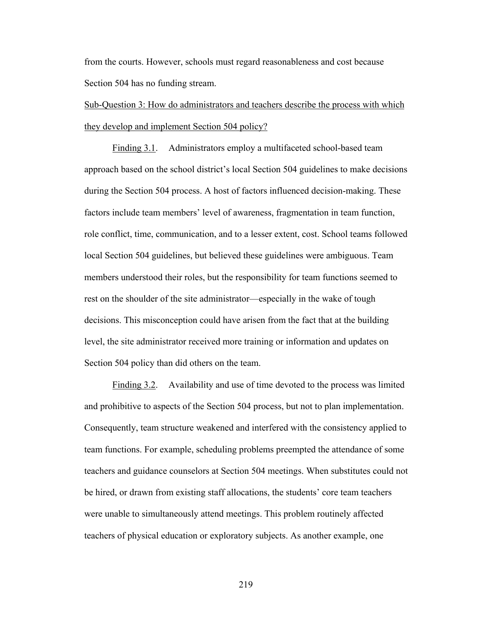from the courts. However, schools must regard reasonableness and cost because Section 504 has no funding stream.

# Sub-Question 3: How do administrators and teachers describe the process with which they develop and implement Section 504 policy?

 Finding 3.1. Administrators employ a multifaceted school-based team approach based on the school district's local Section 504 guidelines to make decisions during the Section 504 process. A host of factors influenced decision-making. These factors include team members' level of awareness, fragmentation in team function, role conflict, time, communication, and to a lesser extent, cost. School teams followed local Section 504 guidelines, but believed these guidelines were ambiguous. Team members understood their roles, but the responsibility for team functions seemed to rest on the shoulder of the site administrator—especially in the wake of tough decisions. This misconception could have arisen from the fact that at the building level, the site administrator received more training or information and updates on Section 504 policy than did others on the team.

 Finding 3.2. Availability and use of time devoted to the process was limited and prohibitive to aspects of the Section 504 process, but not to plan implementation. Consequently, team structure weakened and interfered with the consistency applied to team functions. For example, scheduling problems preempted the attendance of some teachers and guidance counselors at Section 504 meetings. When substitutes could not be hired, or drawn from existing staff allocations, the students' core team teachers were unable to simultaneously attend meetings. This problem routinely affected teachers of physical education or exploratory subjects. As another example, one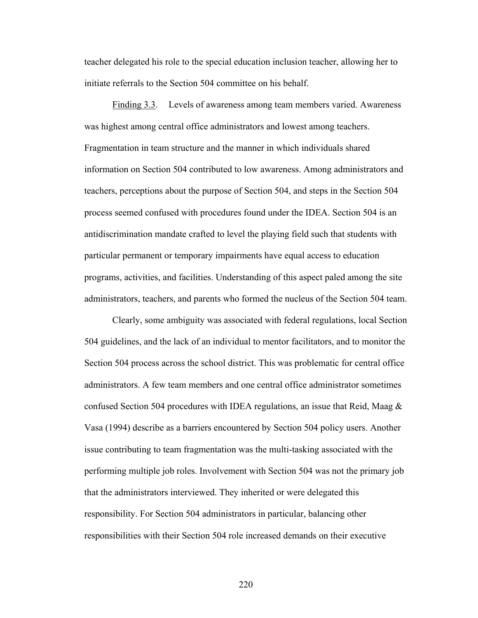teacher delegated his role to the special education inclusion teacher, allowing her to initiate referrals to the Section 504 committee on his behalf.

Finding 3.3. Levels of awareness among team members varied. Awareness was highest among central office administrators and lowest among teachers. Fragmentation in team structure and the manner in which individuals shared information on Section 504 contributed to low awareness. Among administrators and teachers, perceptions about the purpose of Section 504, and steps in the Section 504 process seemed confused with procedures found under the IDEA. Section 504 is an antidiscrimination mandate crafted to level the playing field such that students with particular permanent or temporary impairments have equal access to education programs, activities, and facilities. Understanding of this aspect paled among the site administrators, teachers, and parents who formed the nucleus of the Section 504 team.

Clearly, some ambiguity was associated with federal regulations, local Section 504 guidelines, and the lack of an individual to mentor facilitators, and to monitor the Section 504 process across the school district. This was problematic for central office administrators. A few team members and one central office administrator sometimes confused Section 504 procedures with IDEA regulations, an issue that Reid, Maag  $\&$ Vasa (1994) describe as a barriers encountered by Section 504 policy users. Another issue contributing to team fragmentation was the multi-tasking associated with the performing multiple job roles. Involvement with Section 504 was not the primary job that the administrators interviewed. They inherited or were delegated this responsibility. For Section 504 administrators in particular, balancing other responsibilities with their Section 504 role increased demands on their executive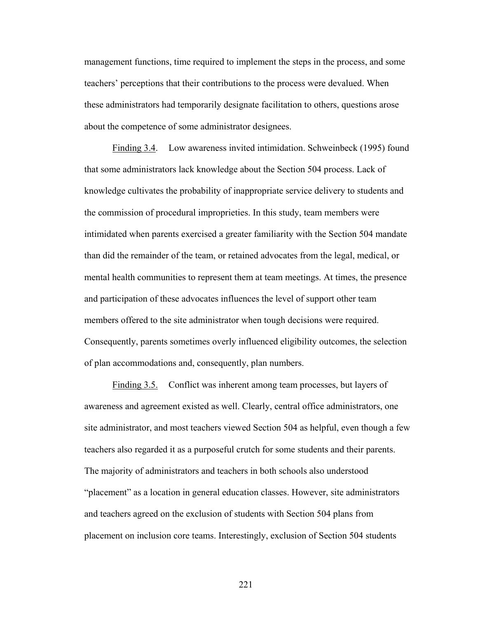management functions, time required to implement the steps in the process, and some teachers' perceptions that their contributions to the process were devalued. When these administrators had temporarily designate facilitation to others, questions arose about the competence of some administrator designees.

 Finding 3.4. Low awareness invited intimidation. Schweinbeck (1995) found that some administrators lack knowledge about the Section 504 process. Lack of knowledge cultivates the probability of inappropriate service delivery to students and the commission of procedural improprieties. In this study, team members were intimidated when parents exercised a greater familiarity with the Section 504 mandate than did the remainder of the team, or retained advocates from the legal, medical, or mental health communities to represent them at team meetings. At times, the presence and participation of these advocates influences the level of support other team members offered to the site administrator when tough decisions were required. Consequently, parents sometimes overly influenced eligibility outcomes, the selection of plan accommodations and, consequently, plan numbers.

 Finding 3.5. Conflict was inherent among team processes, but layers of awareness and agreement existed as well. Clearly, central office administrators, one site administrator, and most teachers viewed Section 504 as helpful, even though a few teachers also regarded it as a purposeful crutch for some students and their parents. The majority of administrators and teachers in both schools also understood "placement" as a location in general education classes. However, site administrators and teachers agreed on the exclusion of students with Section 504 plans from placement on inclusion core teams. Interestingly, exclusion of Section 504 students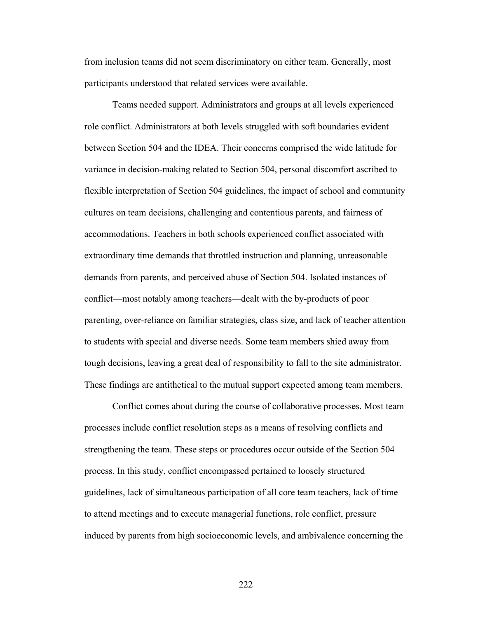from inclusion teams did not seem discriminatory on either team. Generally, most participants understood that related services were available.

 Teams needed support. Administrators and groups at all levels experienced role conflict. Administrators at both levels struggled with soft boundaries evident between Section 504 and the IDEA. Their concerns comprised the wide latitude for variance in decision-making related to Section 504, personal discomfort ascribed to flexible interpretation of Section 504 guidelines, the impact of school and community cultures on team decisions, challenging and contentious parents, and fairness of accommodations. Teachers in both schools experienced conflict associated with extraordinary time demands that throttled instruction and planning, unreasonable demands from parents, and perceived abuse of Section 504. Isolated instances of conflict—most notably among teachers—dealt with the by-products of poor parenting, over-reliance on familiar strategies, class size, and lack of teacher attention to students with special and diverse needs. Some team members shied away from tough decisions, leaving a great deal of responsibility to fall to the site administrator. These findings are antithetical to the mutual support expected among team members.

 Conflict comes about during the course of collaborative processes. Most team processes include conflict resolution steps as a means of resolving conflicts and strengthening the team. These steps or procedures occur outside of the Section 504 process. In this study, conflict encompassed pertained to loosely structured guidelines, lack of simultaneous participation of all core team teachers, lack of time to attend meetings and to execute managerial functions, role conflict, pressure induced by parents from high socioeconomic levels, and ambivalence concerning the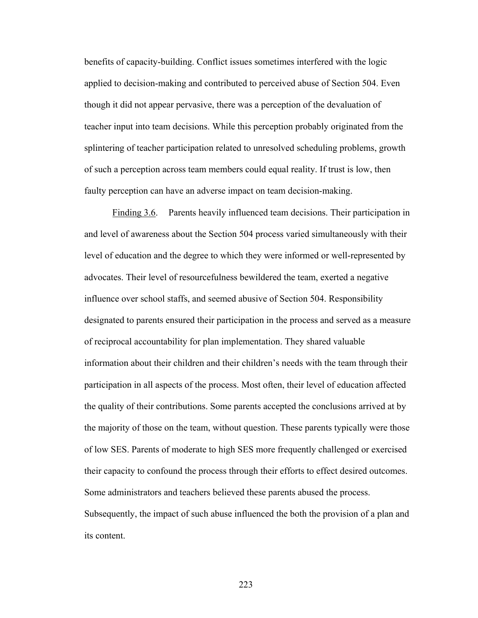benefits of capacity-building. Conflict issues sometimes interfered with the logic applied to decision-making and contributed to perceived abuse of Section 504. Even though it did not appear pervasive, there was a perception of the devaluation of teacher input into team decisions. While this perception probably originated from the splintering of teacher participation related to unresolved scheduling problems, growth of such a perception across team members could equal reality. If trust is low, then faulty perception can have an adverse impact on team decision-making.

 Finding 3.6. Parents heavily influenced team decisions. Their participation in and level of awareness about the Section 504 process varied simultaneously with their level of education and the degree to which they were informed or well-represented by advocates. Their level of resourcefulness bewildered the team, exerted a negative influence over school staffs, and seemed abusive of Section 504. Responsibility designated to parents ensured their participation in the process and served as a measure of reciprocal accountability for plan implementation. They shared valuable information about their children and their children's needs with the team through their participation in all aspects of the process. Most often, their level of education affected the quality of their contributions. Some parents accepted the conclusions arrived at by the majority of those on the team, without question. These parents typically were those of low SES. Parents of moderate to high SES more frequently challenged or exercised their capacity to confound the process through their efforts to effect desired outcomes. Some administrators and teachers believed these parents abused the process. Subsequently, the impact of such abuse influenced the both the provision of a plan and its content.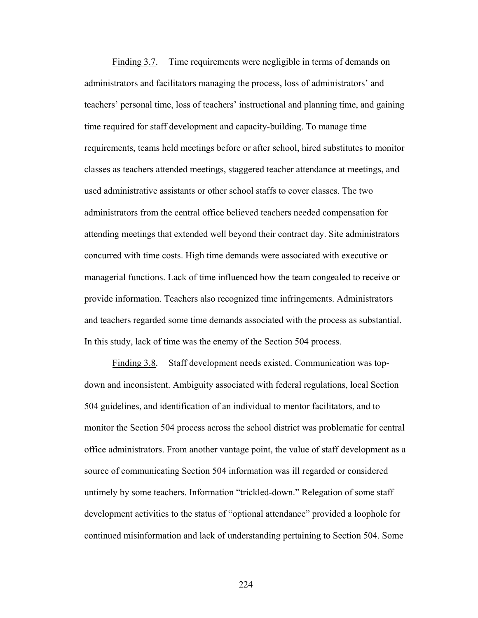Finding 3.7. Time requirements were negligible in terms of demands on administrators and facilitators managing the process, loss of administrators' and teachers' personal time, loss of teachers' instructional and planning time, and gaining time required for staff development and capacity-building. To manage time requirements, teams held meetings before or after school, hired substitutes to monitor classes as teachers attended meetings, staggered teacher attendance at meetings, and used administrative assistants or other school staffs to cover classes. The two administrators from the central office believed teachers needed compensation for attending meetings that extended well beyond their contract day. Site administrators concurred with time costs. High time demands were associated with executive or managerial functions. Lack of time influenced how the team congealed to receive or provide information. Teachers also recognized time infringements. Administrators and teachers regarded some time demands associated with the process as substantial. In this study, lack of time was the enemy of the Section 504 process.

 Finding 3.8. Staff development needs existed. Communication was topdown and inconsistent. Ambiguity associated with federal regulations, local Section 504 guidelines, and identification of an individual to mentor facilitators, and to monitor the Section 504 process across the school district was problematic for central office administrators. From another vantage point, the value of staff development as a source of communicating Section 504 information was ill regarded or considered untimely by some teachers. Information "trickled-down." Relegation of some staff development activities to the status of "optional attendance" provided a loophole for continued misinformation and lack of understanding pertaining to Section 504. Some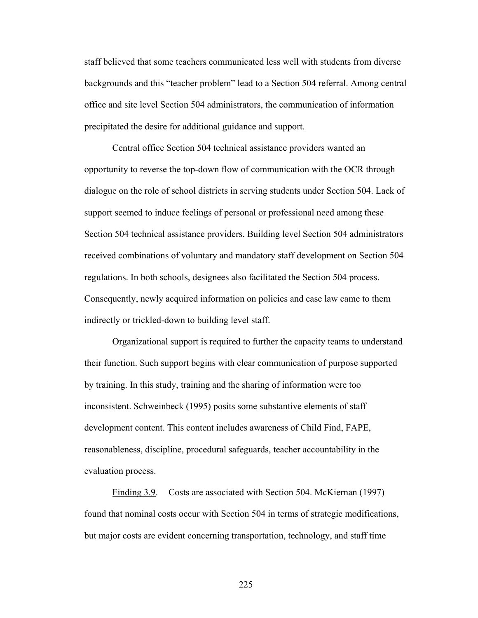staff believed that some teachers communicated less well with students from diverse backgrounds and this "teacher problem" lead to a Section 504 referral. Among central office and site level Section 504 administrators, the communication of information precipitated the desire for additional guidance and support.

 Central office Section 504 technical assistance providers wanted an opportunity to reverse the top-down flow of communication with the OCR through dialogue on the role of school districts in serving students under Section 504. Lack of support seemed to induce feelings of personal or professional need among these Section 504 technical assistance providers. Building level Section 504 administrators received combinations of voluntary and mandatory staff development on Section 504 regulations. In both schools, designees also facilitated the Section 504 process. Consequently, newly acquired information on policies and case law came to them indirectly or trickled-down to building level staff.

 Organizational support is required to further the capacity teams to understand their function. Such support begins with clear communication of purpose supported by training. In this study, training and the sharing of information were too inconsistent. Schweinbeck (1995) posits some substantive elements of staff development content. This content includes awareness of Child Find, FAPE, reasonableness, discipline, procedural safeguards, teacher accountability in the evaluation process.

Finding 3.9. Costs are associated with Section 504. McKiernan (1997) found that nominal costs occur with Section 504 in terms of strategic modifications, but major costs are evident concerning transportation, technology, and staff time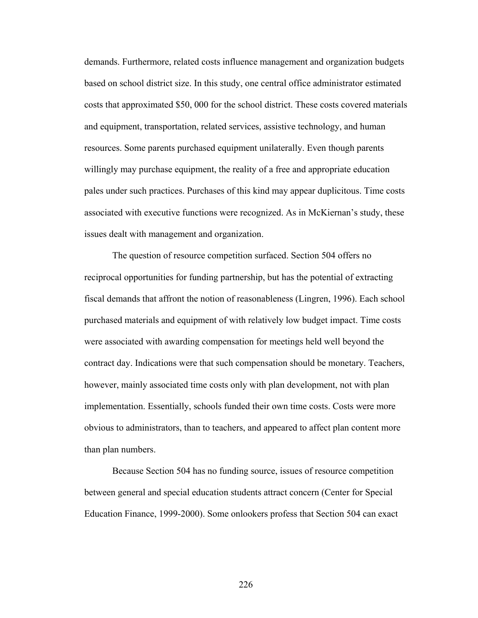demands. Furthermore, related costs influence management and organization budgets based on school district size. In this study, one central office administrator estimated costs that approximated \$50, 000 for the school district. These costs covered materials and equipment, transportation, related services, assistive technology, and human resources. Some parents purchased equipment unilaterally. Even though parents willingly may purchase equipment, the reality of a free and appropriate education pales under such practices. Purchases of this kind may appear duplicitous. Time costs associated with executive functions were recognized. As in McKiernan's study, these issues dealt with management and organization.

The question of resource competition surfaced. Section 504 offers no reciprocal opportunities for funding partnership, but has the potential of extracting fiscal demands that affront the notion of reasonableness (Lingren, 1996). Each school purchased materials and equipment of with relatively low budget impact. Time costs were associated with awarding compensation for meetings held well beyond the contract day. Indications were that such compensation should be monetary. Teachers, however, mainly associated time costs only with plan development, not with plan implementation. Essentially, schools funded their own time costs. Costs were more obvious to administrators, than to teachers, and appeared to affect plan content more than plan numbers.

 Because Section 504 has no funding source, issues of resource competition between general and special education students attract concern (Center for Special Education Finance, 1999-2000). Some onlookers profess that Section 504 can exact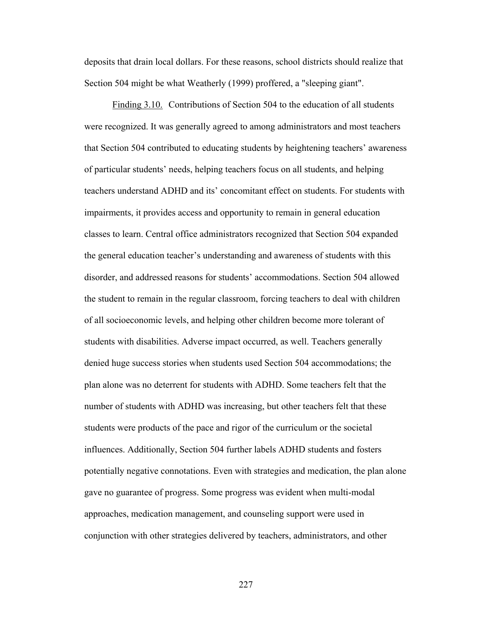deposits that drain local dollars. For these reasons, school districts should realize that Section 504 might be what Weatherly (1999) proffered, a "sleeping giant".

 Finding 3.10. Contributions of Section 504 to the education of all students were recognized. It was generally agreed to among administrators and most teachers that Section 504 contributed to educating students by heightening teachers' awareness of particular students' needs, helping teachers focus on all students, and helping teachers understand ADHD and its' concomitant effect on students. For students with impairments, it provides access and opportunity to remain in general education classes to learn. Central office administrators recognized that Section 504 expanded the general education teacher's understanding and awareness of students with this disorder, and addressed reasons for students' accommodations. Section 504 allowed the student to remain in the regular classroom, forcing teachers to deal with children of all socioeconomic levels, and helping other children become more tolerant of students with disabilities. Adverse impact occurred, as well. Teachers generally denied huge success stories when students used Section 504 accommodations; the plan alone was no deterrent for students with ADHD. Some teachers felt that the number of students with ADHD was increasing, but other teachers felt that these students were products of the pace and rigor of the curriculum or the societal influences. Additionally, Section 504 further labels ADHD students and fosters potentially negative connotations. Even with strategies and medication, the plan alone gave no guarantee of progress. Some progress was evident when multi-modal approaches, medication management, and counseling support were used in conjunction with other strategies delivered by teachers, administrators, and other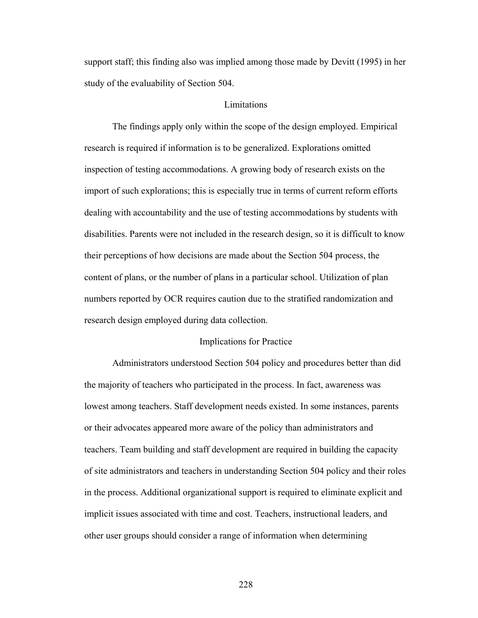support staff; this finding also was implied among those made by Devitt (1995) in her study of the evaluability of Section 504.

# **Limitations**

 The findings apply only within the scope of the design employed. Empirical research is required if information is to be generalized. Explorations omitted inspection of testing accommodations. A growing body of research exists on the import of such explorations; this is especially true in terms of current reform efforts dealing with accountability and the use of testing accommodations by students with disabilities. Parents were not included in the research design, so it is difficult to know their perceptions of how decisions are made about the Section 504 process, the content of plans, or the number of plans in a particular school. Utilization of plan numbers reported by OCR requires caution due to the stratified randomization and research design employed during data collection.

#### Implications for Practice

 Administrators understood Section 504 policy and procedures better than did the majority of teachers who participated in the process. In fact, awareness was lowest among teachers. Staff development needs existed. In some instances, parents or their advocates appeared more aware of the policy than administrators and teachers. Team building and staff development are required in building the capacity of site administrators and teachers in understanding Section 504 policy and their roles in the process. Additional organizational support is required to eliminate explicit and implicit issues associated with time and cost. Teachers, instructional leaders, and other user groups should consider a range of information when determining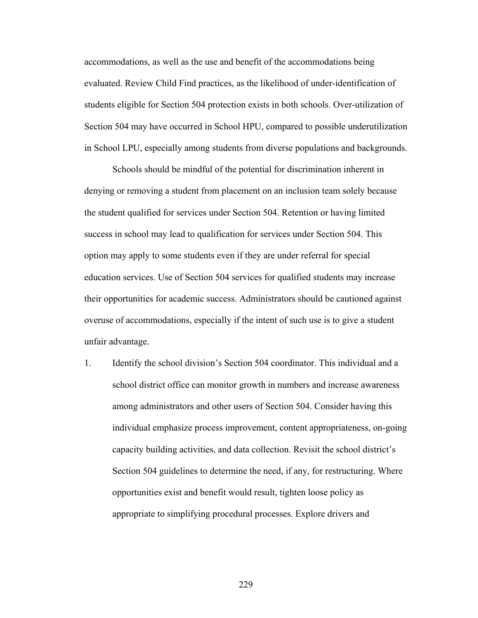accommodations, as well as the use and benefit of the accommodations being evaluated. Review Child Find practices, as the likelihood of under-identification of students eligible for Section 504 protection exists in both schools. Over-utilization of Section 504 may have occurred in School HPU, compared to possible underutilization in School LPU, especially among students from diverse populations and backgrounds.

 Schools should be mindful of the potential for discrimination inherent in denying or removing a student from placement on an inclusion team solely because the student qualified for services under Section 504. Retention or having limited success in school may lead to qualification for services under Section 504. This option may apply to some students even if they are under referral for special education services. Use of Section 504 services for qualified students may increase their opportunities for academic success. Administrators should be cautioned against overuse of accommodations, especially if the intent of such use is to give a student unfair advantage.

1. Identify the school division's Section 504 coordinator. This individual and a school district office can monitor growth in numbers and increase awareness among administrators and other users of Section 504. Consider having this individual emphasize process improvement, content appropriateness, on-going capacity building activities, and data collection. Revisit the school district's Section 504 guidelines to determine the need, if any, for restructuring. Where opportunities exist and benefit would result, tighten loose policy as appropriate to simplifying procedural processes. Explore drivers and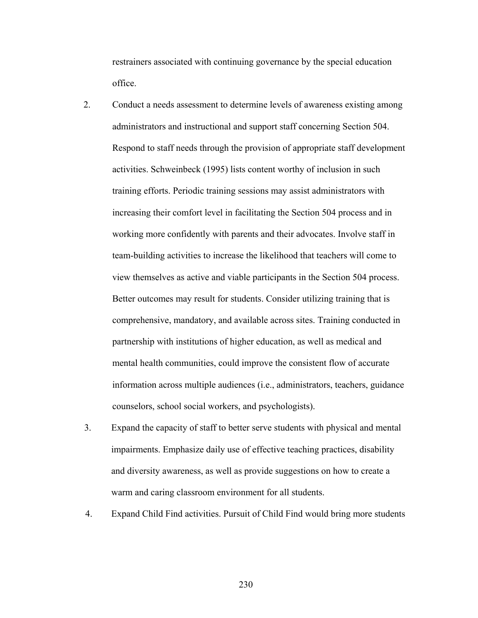restrainers associated with continuing governance by the special education office.

- 2. Conduct a needs assessment to determine levels of awareness existing among administrators and instructional and support staff concerning Section 504. Respond to staff needs through the provision of appropriate staff development activities. Schweinbeck (1995) lists content worthy of inclusion in such training efforts. Periodic training sessions may assist administrators with increasing their comfort level in facilitating the Section 504 process and in working more confidently with parents and their advocates. Involve staff in team-building activities to increase the likelihood that teachers will come to view themselves as active and viable participants in the Section 504 process. Better outcomes may result for students. Consider utilizing training that is comprehensive, mandatory, and available across sites. Training conducted in partnership with institutions of higher education, as well as medical and mental health communities, could improve the consistent flow of accurate information across multiple audiences (i.e., administrators, teachers, guidance counselors, school social workers, and psychologists).
- 3. Expand the capacity of staff to better serve students with physical and mental impairments. Emphasize daily use of effective teaching practices, disability and diversity awareness, as well as provide suggestions on how to create a warm and caring classroom environment for all students.
- 4. Expand Child Find activities. Pursuit of Child Find would bring more students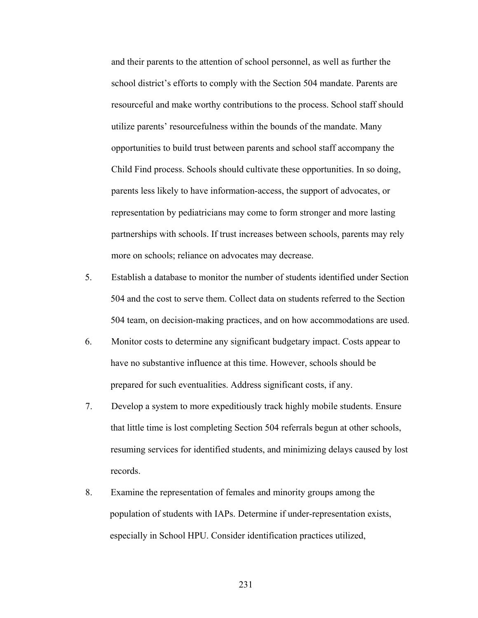and their parents to the attention of school personnel, as well as further the school district's efforts to comply with the Section 504 mandate. Parents are resourceful and make worthy contributions to the process. School staff should utilize parents' resourcefulness within the bounds of the mandate. Many opportunities to build trust between parents and school staff accompany the Child Find process. Schools should cultivate these opportunities. In so doing, parents less likely to have information-access, the support of advocates, or representation by pediatricians may come to form stronger and more lasting partnerships with schools. If trust increases between schools, parents may rely more on schools; reliance on advocates may decrease.

- 5. Establish a database to monitor the number of students identified under Section 504 and the cost to serve them. Collect data on students referred to the Section 504 team, on decision-making practices, and on how accommodations are used.
- 6. Monitor costs to determine any significant budgetary impact. Costs appear to have no substantive influence at this time. However, schools should be prepared for such eventualities. Address significant costs, if any.
- 7. Develop a system to more expeditiously track highly mobile students. Ensure that little time is lost completing Section 504 referrals begun at other schools, resuming services for identified students, and minimizing delays caused by lost records.
- 8. Examine the representation of females and minority groups among the population of students with IAPs. Determine if under-representation exists, especially in School HPU. Consider identification practices utilized,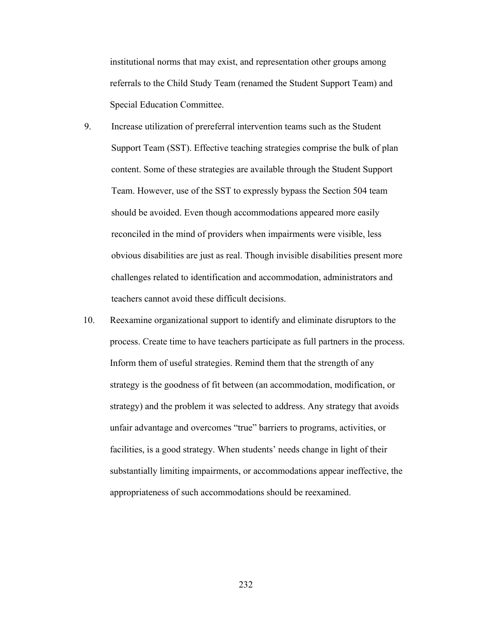institutional norms that may exist, and representation other groups among referrals to the Child Study Team (renamed the Student Support Team) and Special Education Committee.

- 9. Increase utilization of prereferral intervention teams such as the Student Support Team (SST). Effective teaching strategies comprise the bulk of plan content. Some of these strategies are available through the Student Support Team. However, use of the SST to expressly bypass the Section 504 team should be avoided. Even though accommodations appeared more easily reconciled in the mind of providers when impairments were visible, less obvious disabilities are just as real. Though invisible disabilities present more challenges related to identification and accommodation, administrators and teachers cannot avoid these difficult decisions.
- 10. Reexamine organizational support to identify and eliminate disruptors to the process. Create time to have teachers participate as full partners in the process. Inform them of useful strategies. Remind them that the strength of any strategy is the goodness of fit between (an accommodation, modification, or strategy) and the problem it was selected to address. Any strategy that avoids unfair advantage and overcomes "true" barriers to programs, activities, or facilities, is a good strategy. When students' needs change in light of their substantially limiting impairments, or accommodations appear ineffective, the appropriateness of such accommodations should be reexamined.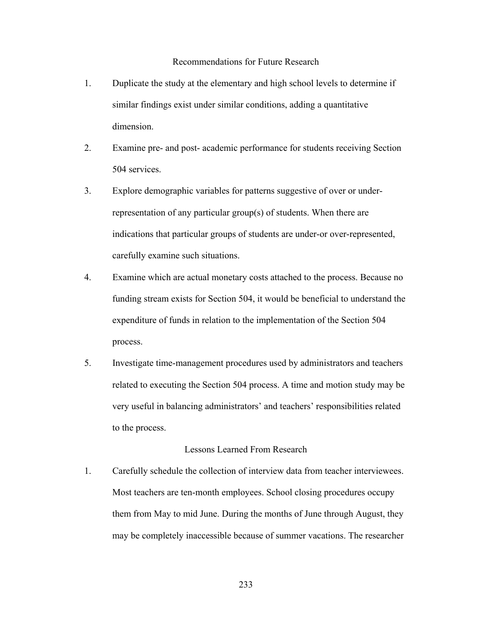# Recommendations for Future Research

- 1. Duplicate the study at the elementary and high school levels to determine if similar findings exist under similar conditions, adding a quantitative dimension.
- 2. Examine pre- and post- academic performance for students receiving Section 504 services.
- 3. Explore demographic variables for patterns suggestive of over or underrepresentation of any particular group(s) of students. When there are indications that particular groups of students are under-or over-represented, carefully examine such situations.
- 4. Examine which are actual monetary costs attached to the process. Because no funding stream exists for Section 504, it would be beneficial to understand the expenditure of funds in relation to the implementation of the Section 504 process.
- 5. Investigate time-management procedures used by administrators and teachers related to executing the Section 504 process. A time and motion study may be very useful in balancing administrators' and teachers' responsibilities related to the process.

# Lessons Learned From Research

1. Carefully schedule the collection of interview data from teacher interviewees. Most teachers are ten-month employees. School closing procedures occupy them from May to mid June. During the months of June through August, they may be completely inaccessible because of summer vacations. The researcher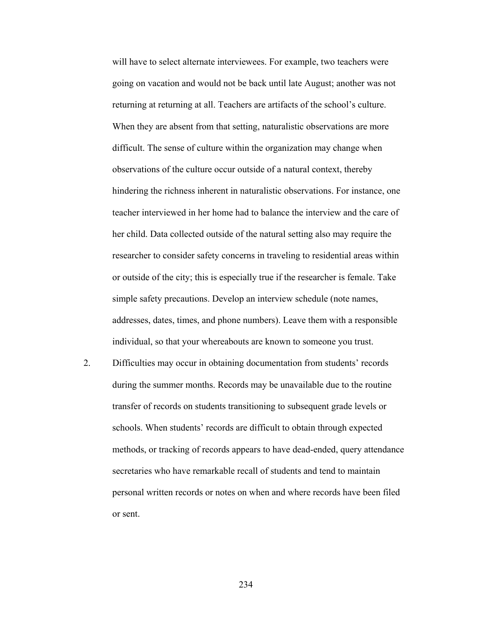will have to select alternate interviewees. For example, two teachers were going on vacation and would not be back until late August; another was not returning at returning at all. Teachers are artifacts of the school's culture. When they are absent from that setting, naturalistic observations are more difficult. The sense of culture within the organization may change when observations of the culture occur outside of a natural context, thereby hindering the richness inherent in naturalistic observations. For instance, one teacher interviewed in her home had to balance the interview and the care of her child. Data collected outside of the natural setting also may require the researcher to consider safety concerns in traveling to residential areas within or outside of the city; this is especially true if the researcher is female. Take simple safety precautions. Develop an interview schedule (note names, addresses, dates, times, and phone numbers). Leave them with a responsible individual, so that your whereabouts are known to someone you trust.

2. Difficulties may occur in obtaining documentation from students' records during the summer months. Records may be unavailable due to the routine transfer of records on students transitioning to subsequent grade levels or schools. When students' records are difficult to obtain through expected methods, or tracking of records appears to have dead-ended, query attendance secretaries who have remarkable recall of students and tend to maintain personal written records or notes on when and where records have been filed or sent.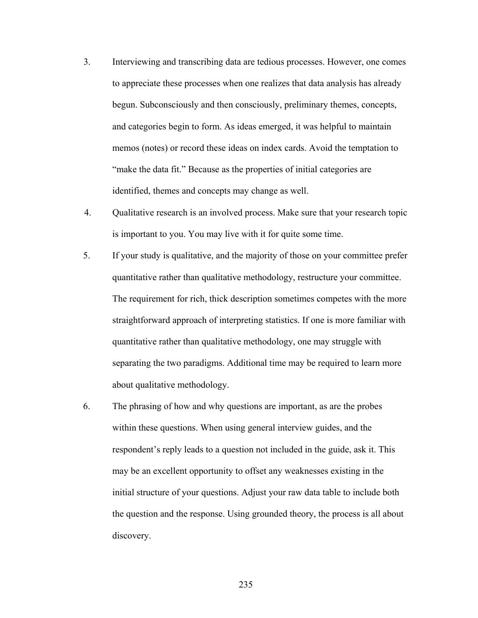- 3. Interviewing and transcribing data are tedious processes. However, one comes to appreciate these processes when one realizes that data analysis has already begun. Subconsciously and then consciously, preliminary themes, concepts, and categories begin to form. As ideas emerged, it was helpful to maintain memos (notes) or record these ideas on index cards. Avoid the temptation to "make the data fit." Because as the properties of initial categories are identified, themes and concepts may change as well.
- 4. Qualitative research is an involved process. Make sure that your research topic is important to you. You may live with it for quite some time.
- 5. If your study is qualitative, and the majority of those on your committee prefer quantitative rather than qualitative methodology, restructure your committee. The requirement for rich, thick description sometimes competes with the more straightforward approach of interpreting statistics. If one is more familiar with quantitative rather than qualitative methodology, one may struggle with separating the two paradigms. Additional time may be required to learn more about qualitative methodology.
- 6. The phrasing of how and why questions are important, as are the probes within these questions. When using general interview guides, and the respondent's reply leads to a question not included in the guide, ask it. This may be an excellent opportunity to offset any weaknesses existing in the initial structure of your questions. Adjust your raw data table to include both the question and the response. Using grounded theory, the process is all about discovery.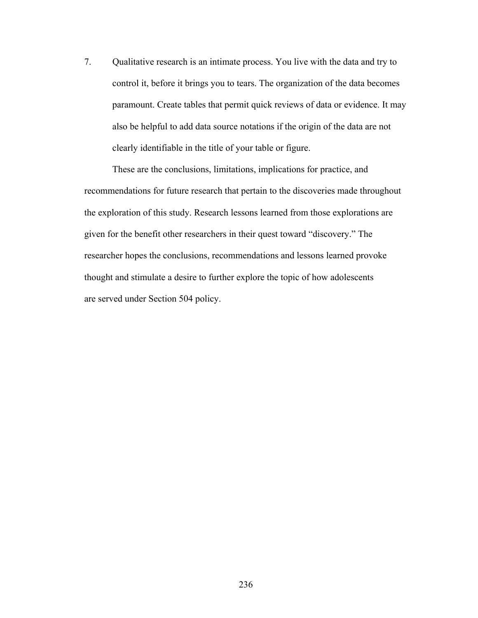7. Qualitative research is an intimate process. You live with the data and try to control it, before it brings you to tears. The organization of the data becomes paramount. Create tables that permit quick reviews of data or evidence. It may also be helpful to add data source notations if the origin of the data are not clearly identifiable in the title of your table or figure.

 These are the conclusions, limitations, implications for practice, and recommendations for future research that pertain to the discoveries made throughout the exploration of this study. Research lessons learned from those explorations are given for the benefit other researchers in their quest toward "discovery." The researcher hopes the conclusions, recommendations and lessons learned provoke thought and stimulate a desire to further explore the topic of how adolescents are served under Section 504 policy.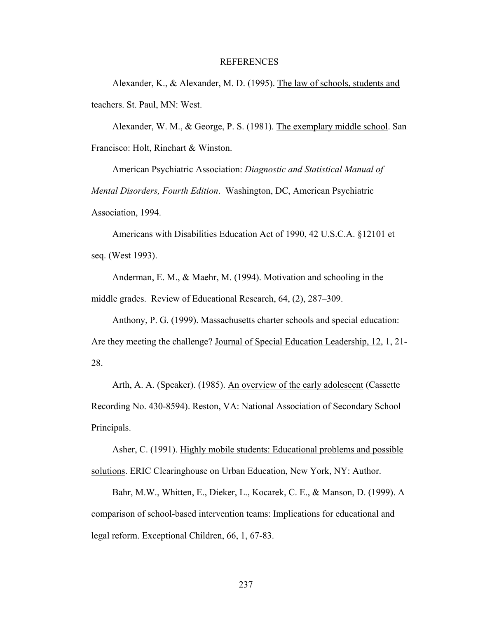## REFERENCES

 Alexander, K., & Alexander, M. D. (1995). The law of schools, students and teachers. St. Paul, MN: West.

 Alexander, W. M., & George, P. S. (1981). The exemplary middle school. San Francisco: Holt, Rinehart & Winston.

 American Psychiatric Association: *Diagnostic and Statistical Manual of Mental Disorders, Fourth Edition*. Washington, DC, American Psychiatric Association, 1994.

 Americans with Disabilities Education Act of 1990, 42 U.S.C.A. §12101 et seq. (West 1993).

 Anderman, E. M., & Maehr, M. (1994). Motivation and schooling in the middle grades. Review of Educational Research, 64, (2), 287–309.

 Anthony, P. G. (1999). Massachusetts charter schools and special education: Are they meeting the challenge? Journal of Special Education Leadership, 12, 1, 21- 28.

Arth, A. A. (Speaker). (1985). An overview of the early adolescent (Cassette Recording No. 430-8594). Reston, VA: National Association of Secondary School Principals.

 Asher, C. (1991). Highly mobile students: Educational problems and possible solutions. ERIC Clearinghouse on Urban Education, New York, NY: Author.

 Bahr, M.W., Whitten, E., Dieker, L., Kocarek, C. E., & Manson, D. (1999). A comparison of school-based intervention teams: Implications for educational and legal reform. Exceptional Children, 66, 1, 67-83.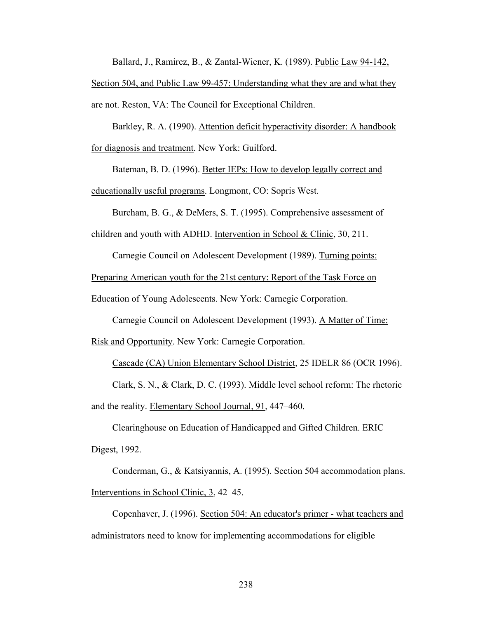Ballard, J., Ramirez, B., & Zantal-Wiener, K. (1989). Public Law 94-142,

Section 504, and Public Law 99-457: Understanding what they are and what they are not. Reston, VA: The Council for Exceptional Children.

 Barkley, R. A. (1990). Attention deficit hyperactivity disorder: A handbook for diagnosis and treatment. New York: Guilford.

 Bateman, B. D. (1996). Better IEPs: How to develop legally correct and educationally useful programs. Longmont, CO: Sopris West.

Burcham, B. G., & DeMers, S. T. (1995). Comprehensive assessment of

children and youth with ADHD. Intervention in School & Clinic, 30, 211.

Carnegie Council on Adolescent Development (1989). Turning points:

Preparing American youth for the 21st century: Report of the Task Force on

Education of Young Adolescents. New York: Carnegie Corporation.

Carnegie Council on Adolescent Development (1993). A Matter of Time:

Risk and Opportunity. New York: Carnegie Corporation.

Cascade (CA) Union Elementary School District, 25 IDELR 86 (OCR 1996).

 Clark, S. N., & Clark, D. C. (1993). Middle level school reform: The rhetoric and the reality. Elementary School Journal, 91, 447–460.

 Clearinghouse on Education of Handicapped and Gifted Children. ERIC Digest, 1992.

 Conderman, G., & Katsiyannis, A. (1995). Section 504 accommodation plans. Interventions in School Clinic, 3, 42–45.

 Copenhaver, J. (1996). Section 504: An educator's primer - what teachers and administrators need to know for implementing accommodations for eligible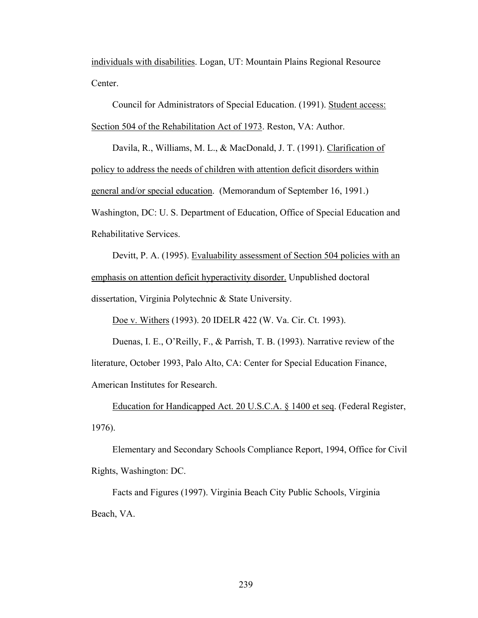individuals with disabilities. Logan, UT: Mountain Plains Regional Resource Center.

 Council for Administrators of Special Education. (1991). Student access: Section 504 of the Rehabilitation Act of 1973. Reston, VA: Author.

 Davila, R., Williams, M. L., & MacDonald, J. T. (1991). Clarification of policy to address the needs of children with attention deficit disorders within general and/or special education. (Memorandum of September 16, 1991.) Washington, DC: U. S. Department of Education, Office of Special Education and Rehabilitative Services.

 Devitt, P. A. (1995). Evaluability assessment of Section 504 policies with an emphasis on attention deficit hyperactivity disorder. Unpublished doctoral dissertation, Virginia Polytechnic & State University.

Doe v. Withers (1993). 20 IDELR 422 (W. Va. Cir. Ct. 1993).

 Duenas, I. E., O'Reilly, F., & Parrish, T. B. (1993). Narrative review of the literature, October 1993, Palo Alto, CA: Center for Special Education Finance, American Institutes for Research.

 Education for Handicapped Act. 20 U.S.C.A. § 1400 et seq. (Federal Register, 1976).

 Elementary and Secondary Schools Compliance Report, 1994, Office for Civil Rights, Washington: DC.

 Facts and Figures (1997). Virginia Beach City Public Schools, Virginia Beach, VA.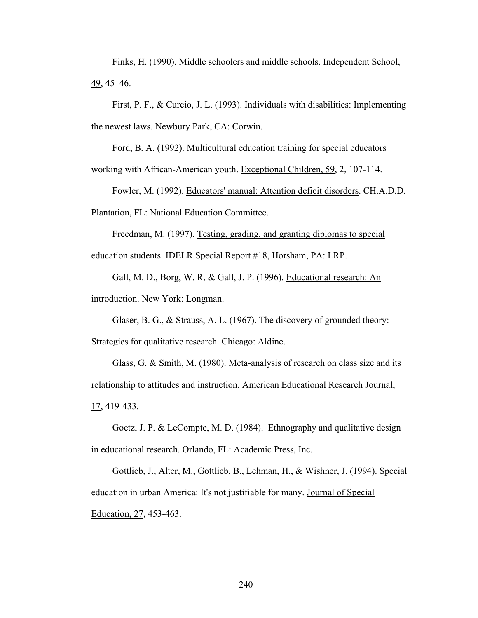Finks, H. (1990). Middle schoolers and middle schools. Independent School, 49, 45–46.

 First, P. F., & Curcio, J. L. (1993). Individuals with disabilities: Implementing the newest laws. Newbury Park, CA: Corwin.

Ford, B. A. (1992). Multicultural education training for special educators

working with African-American youth. Exceptional Children, 59, 2, 107-114.

Fowler, M. (1992). Educators' manual: Attention deficit disorders. CH.A.D.D.

Plantation, FL: National Education Committee.

 Freedman, M. (1997). Testing, grading, and granting diplomas to special education students. IDELR Special Report #18, Horsham, PA: LRP.

 Gall, M. D., Borg, W. R, & Gall, J. P. (1996). Educational research: An introduction. New York: Longman.

 Glaser, B. G., & Strauss, A. L. (1967). The discovery of grounded theory: Strategies for qualitative research. Chicago: Aldine.

 Glass, G. & Smith, M. (1980). Meta-analysis of research on class size and its relationship to attitudes and instruction. American Educational Research Journal, 17, 419-433.

 Goetz, J. P. & LeCompte, M. D. (1984). Ethnography and qualitative design in educational research. Orlando, FL: Academic Press, Inc.

 Gottlieb, J., Alter, M., Gottlieb, B., Lehman, H., & Wishner, J. (1994). Special education in urban America: It's not justifiable for many. Journal of Special Education, 27, 453-463.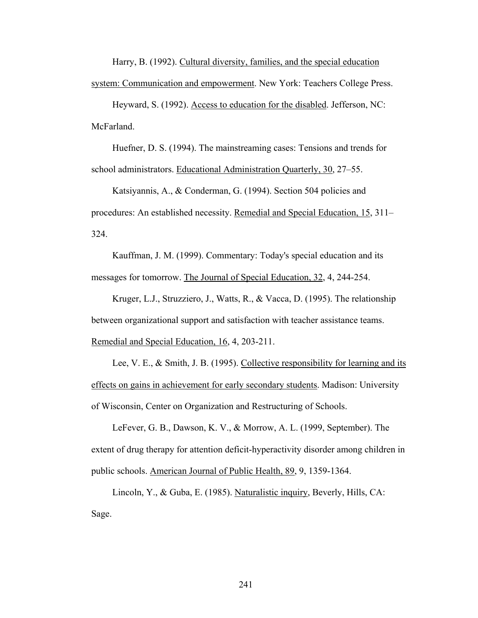Harry, B. (1992). Cultural diversity, families, and the special education system: Communication and empowerment. New York: Teachers College Press.

 Heyward, S. (1992). Access to education for the disabled. Jefferson, NC: McFarland.

 Huefner, D. S. (1994). The mainstreaming cases: Tensions and trends for school administrators. Educational Administration Quarterly, 30, 27–55.

 Katsiyannis, A., & Conderman, G. (1994). Section 504 policies and procedures: An established necessity. Remedial and Special Education, 15, 311– 324.

 Kauffman, J. M. (1999). Commentary: Today's special education and its messages for tomorrow. The Journal of Special Education, 32, 4, 244-254.

Kruger, L.J., Struzziero, J., Watts, R., & Vacca, D. (1995). The relationship between organizational support and satisfaction with teacher assistance teams. Remedial and Special Education, 16, 4, 203-211.

Lee, V. E., & Smith, J. B. (1995). Collective responsibility for learning and its effects on gains in achievement for early secondary students. Madison: University of Wisconsin, Center on Organization and Restructuring of Schools.

 LeFever, G. B., Dawson, K. V., & Morrow, A. L. (1999, September). The extent of drug therapy for attention deficit-hyperactivity disorder among children in public schools. American Journal of Public Health, 89, 9, 1359-1364.

 Lincoln, Y., & Guba, E. (1985). Naturalistic inquiry, Beverly, Hills, CA: Sage.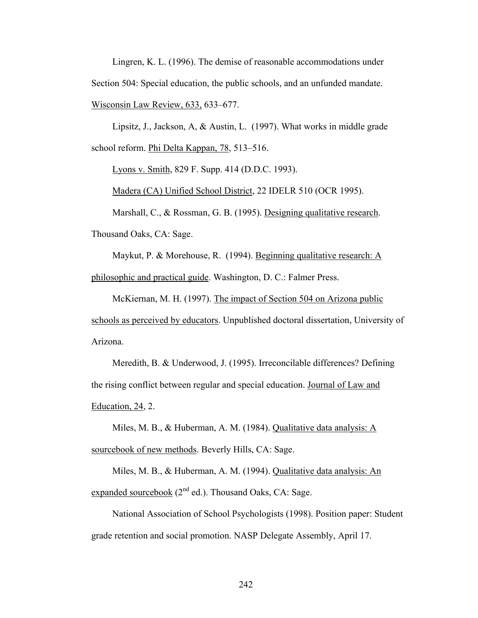Lingren, K. L. (1996). The demise of reasonable accommodations under Section 504: Special education, the public schools, and an unfunded mandate. Wisconsin Law Review, 633, 633–677.

 Lipsitz, J., Jackson, A, & Austin, L. (1997). What works in middle grade school reform. Phi Delta Kappan, 78, 513–516.

Lyons v. Smith, 829 F. Supp. 414 (D.D.C. 1993).

Madera (CA) Unified School District, 22 IDELR 510 (OCR 1995).

Marshall, C., & Rossman, G. B. (1995). Designing qualitative research.

Thousand Oaks, CA: Sage.

Maykut, P. & Morehouse, R. (1994). Beginning qualitative research: A philosophic and practical guide. Washington, D. C.: Falmer Press.

 McKiernan, M. H. (1997). The impact of Section 504 on Arizona public schools as perceived by educators. Unpublished doctoral dissertation, University of Arizona.

 Meredith, B. & Underwood, J. (1995). Irreconcilable differences? Defining the rising conflict between regular and special education. Journal of Law and Education, 24, 2.

 Miles, M. B., & Huberman, A. M. (1984). Qualitative data analysis: A sourcebook of new methods. Beverly Hills, CA: Sage.

 Miles, M. B., & Huberman, A. M. (1994). Qualitative data analysis: An expanded sourcebook  $(2^{nd}$  ed.). Thousand Oaks, CA: Sage.

 National Association of School Psychologists (1998). Position paper: Student grade retention and social promotion. NASP Delegate Assembly, April 17.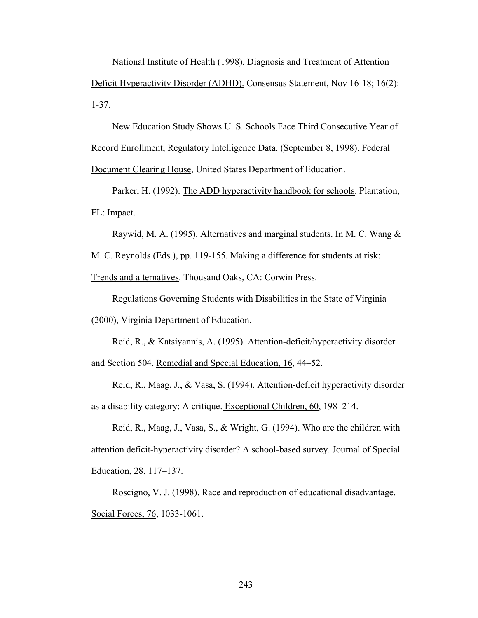National Institute of Health (1998). Diagnosis and Treatment of Attention Deficit Hyperactivity Disorder (ADHD). Consensus Statement, Nov 16-18; 16(2): 1-37.

 New Education Study Shows U. S. Schools Face Third Consecutive Year of Record Enrollment, Regulatory Intelligence Data. (September 8, 1998). Federal Document Clearing House, United States Department of Education.

Parker, H. (1992). The ADD hyperactivity handbook for schools. Plantation, FL: Impact.

Raywid, M. A. (1995). Alternatives and marginal students. In M. C. Wang &

M. C. Reynolds (Eds.), pp. 119-155. Making a difference for students at risk:

Trends and alternatives. Thousand Oaks, CA: Corwin Press.

 Regulations Governing Students with Disabilities in the State of Virginia (2000), Virginia Department of Education.

 Reid, R., & Katsiyannis, A. (1995). Attention-deficit/hyperactivity disorder and Section 504. Remedial and Special Education, 16, 44–52.

 Reid, R., Maag, J., & Vasa, S. (1994). Attention-deficit hyperactivity disorder as a disability category: A critique. Exceptional Children, 60, 198–214.

 Reid, R., Maag, J., Vasa, S., & Wright, G. (1994). Who are the children with attention deficit-hyperactivity disorder? A school-based survey. Journal of Special Education, 28, 117–137.

 Roscigno, V. J. (1998). Race and reproduction of educational disadvantage. Social Forces, 76, 1033-1061.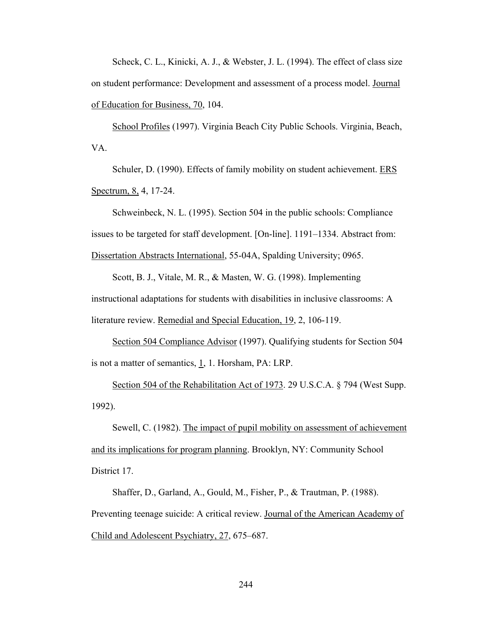Scheck, C. L., Kinicki, A. J., & Webster, J. L. (1994). The effect of class size on student performance: Development and assessment of a process model. Journal of Education for Business, 70, 104.

 School Profiles (1997). Virginia Beach City Public Schools. Virginia, Beach, VA.

Schuler, D. (1990). Effects of family mobility on student achievement. ERS Spectrum, 8, 4, 17-24.

 Schweinbeck, N. L. (1995). Section 504 in the public schools: Compliance issues to be targeted for staff development. [On-line]. 1191–1334. Abstract from: Dissertation Abstracts International, 55-04A, Spalding University; 0965.

 Scott, B. J., Vitale, M. R., & Masten, W. G. (1998). Implementing instructional adaptations for students with disabilities in inclusive classrooms: A literature review. Remedial and Special Education, 19, 2, 106-119.

Section 504 Compliance Advisor (1997). Qualifying students for Section 504 is not a matter of semantics,  $1, 1$ . Horsham, PA: LRP.

 Section 504 of the Rehabilitation Act of 1973. 29 U.S.C.A. § 794 (West Supp. 1992).

 Sewell, C. (1982). The impact of pupil mobility on assessment of achievement and its implications for program planning. Brooklyn, NY: Community School District 17.

 Shaffer, D., Garland, A., Gould, M., Fisher, P., & Trautman, P. (1988). Preventing teenage suicide: A critical review. Journal of the American Academy of Child and Adolescent Psychiatry, 27, 675–687.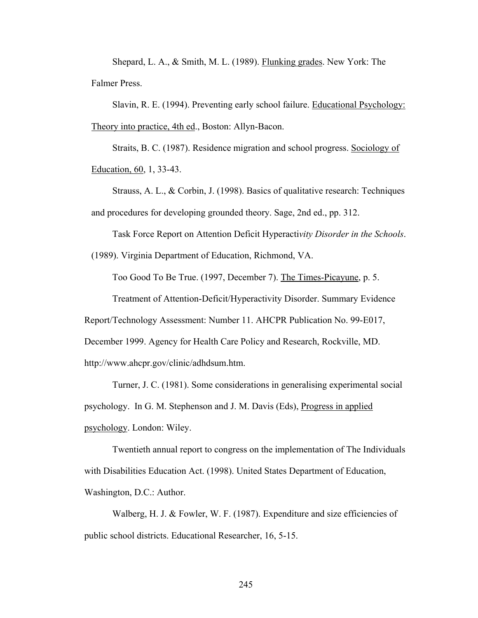Shepard, L. A., & Smith, M. L. (1989). Flunking grades. New York: The Falmer Press.

 Slavin, R. E. (1994). Preventing early school failure. Educational Psychology: Theory into practice, 4th ed., Boston: Allyn-Bacon.

 Straits, B. C. (1987). Residence migration and school progress. Sociology of Education, 60, 1, 33-43.

 Strauss, A. L., & Corbin, J. (1998). Basics of qualitative research: Techniques and procedures for developing grounded theory. Sage, 2nd ed., pp. 312.

Task Force Report on Attention Deficit Hyperacti*vity Disorder in the Schools*.

(1989). Virginia Department of Education, Richmond, VA.

Too Good To Be True. (1997, December 7). The Times-Picayune, p. 5.

Treatment of Attention-Deficit/Hyperactivity Disorder. Summary Evidence

Report/Technology Assessment: Number 11. AHCPR Publication No. 99-E017,

December 1999. Agency for Health Care Policy and Research, Rockville, MD.

http://www.ahcpr.gov/clinic/adhdsum.htm.

 Turner, J. C. (1981). Some considerations in generalising experimental social psychology. In G. M. Stephenson and J. M. Davis (Eds), Progress in applied psychology. London: Wiley.

 Twentieth annual report to congress on the implementation of The Individuals with Disabilities Education Act. (1998). United States Department of Education, Washington, D.C.: Author.

Walberg, H. J. & Fowler, W. F. (1987). Expenditure and size efficiencies of public school districts. Educational Researcher, 16, 5-15.